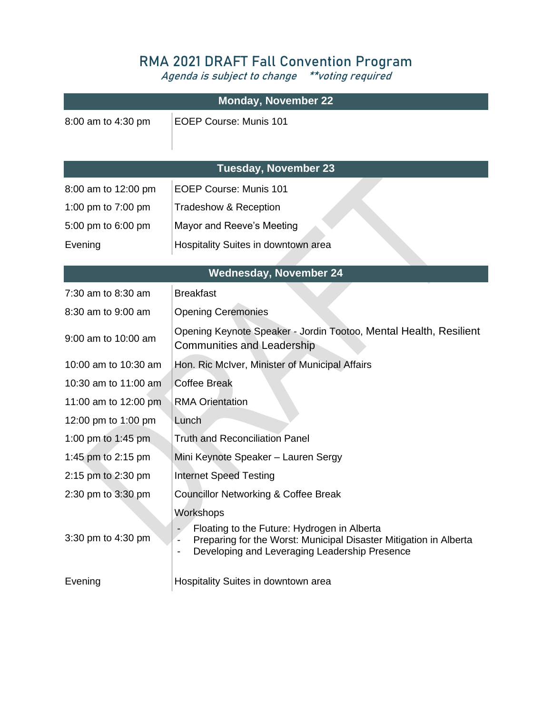## **RMA 2021 DRAFT Fall Convention Program**

**Agenda is subject to change \*\*voting required**

| <b>Monday, November 22</b>    |                                                                                                                                                                                                                     |  |
|-------------------------------|---------------------------------------------------------------------------------------------------------------------------------------------------------------------------------------------------------------------|--|
| 8:00 am to 4:30 pm            | <b>EOEP Course: Munis 101</b>                                                                                                                                                                                       |  |
| <b>Tuesday, November 23</b>   |                                                                                                                                                                                                                     |  |
| 8:00 am to 12:00 pm           | <b>EOEP Course: Munis 101</b>                                                                                                                                                                                       |  |
| 1:00 pm to 7:00 pm            | Tradeshow & Reception                                                                                                                                                                                               |  |
| 5:00 pm to 6:00 pm            | Mayor and Reeve's Meeting                                                                                                                                                                                           |  |
| Evening                       | Hospitality Suites in downtown area                                                                                                                                                                                 |  |
| <b>Wednesday, November 24</b> |                                                                                                                                                                                                                     |  |
| 7:30 am to 8:30 am            | <b>Breakfast</b>                                                                                                                                                                                                    |  |
| 8:30 am to 9:00 am            | <b>Opening Ceremonies</b>                                                                                                                                                                                           |  |
| 9:00 am to 10:00 am           | Opening Keynote Speaker - Jordin Tootoo, Mental Health, Resilient<br><b>Communities and Leadership</b>                                                                                                              |  |
| 10:00 am to 10:30 am          | Hon. Ric McIver, Minister of Municipal Affairs                                                                                                                                                                      |  |
| 10:30 am to 11:00 am          | <b>Coffee Break</b>                                                                                                                                                                                                 |  |
| 11:00 am to 12:00 pm          | <b>RMA Orientation</b>                                                                                                                                                                                              |  |
| 12:00 pm to 1:00 pm           | Lunch                                                                                                                                                                                                               |  |
| 1:00 pm to 1:45 pm            | <b>Truth and Reconciliation Panel</b>                                                                                                                                                                               |  |
| 1:45 pm to 2:15 pm            | Mini Keynote Speaker - Lauren Sergy                                                                                                                                                                                 |  |
| 2:15 pm to 2:30 pm            | <b>Internet Speed Testing</b>                                                                                                                                                                                       |  |
| 2:30 pm to 3:30 pm            | <b>Councillor Networking &amp; Coffee Break</b>                                                                                                                                                                     |  |
| 3:30 pm to 4:30 pm            | Workshops<br>Floating to the Future: Hydrogen in Alberta<br>Preparing for the Worst: Municipal Disaster Mitigation in Alberta<br>$\qquad \qquad \blacksquare$<br>Developing and Leveraging Leadership Presence<br>- |  |
| Evening                       | Hospitality Suites in downtown area                                                                                                                                                                                 |  |